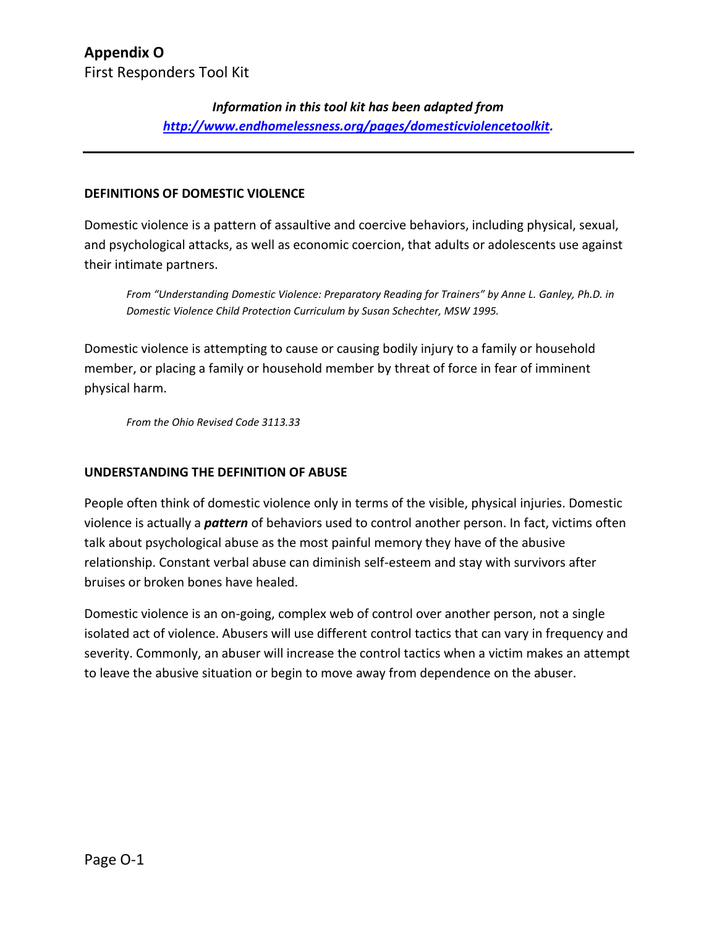### *Information in this tool kit has been adapted from [http://www.endhomelessness.org/pages/domesticviolencetoolkit.](http://www.endhomelessness.org/pages/domesticviolencetoolkit)*

#### **DEFINITIONS OF DOMESTIC VIOLENCE**

Domestic violence is a pattern of assaultive and coercive behaviors, including physical, sexual, and psychological attacks, as well as economic coercion, that adults or adolescents use against their intimate partners.

*From "Understanding Domestic Violence: Preparatory Reading for Trainers" by Anne L. Ganley, Ph.D. in Domestic Violence Child Protection Curriculum by Susan Schechter, MSW 1995.*

Domestic violence is attempting to cause or causing bodily injury to a family or household member, or placing a family or household member by threat of force in fear of imminent physical harm.

*From the Ohio Revised Code 3113.33*

### **UNDERSTANDING THE DEFINITION OF ABUSE**

People often think of domestic violence only in terms of the visible, physical injuries. Domestic violence is actually a *pattern* of behaviors used to control another person. In fact, victims often talk about psychological abuse as the most painful memory they have of the abusive relationship. Constant verbal abuse can diminish self-esteem and stay with survivors after bruises or broken bones have healed.

Domestic violence is an on-going, complex web of control over another person, not a single isolated act of violence. Abusers will use different control tactics that can vary in frequency and severity. Commonly, an abuser will increase the control tactics when a victim makes an attempt to leave the abusive situation or begin to move away from dependence on the abuser.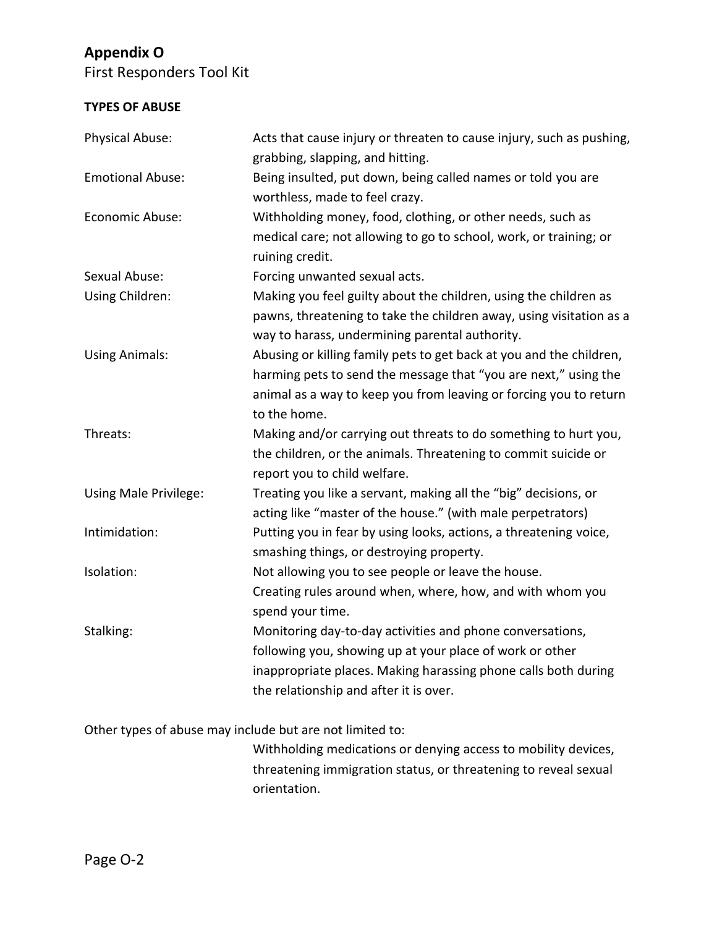First Responders Tool Kit

### **TYPES OF ABUSE**

| Physical Abuse:         | Acts that cause injury or threaten to cause injury, such as pushing,<br>grabbing, slapping, and hitting.                                                                                                                          |
|-------------------------|-----------------------------------------------------------------------------------------------------------------------------------------------------------------------------------------------------------------------------------|
| <b>Emotional Abuse:</b> | Being insulted, put down, being called names or told you are<br>worthless, made to feel crazy.                                                                                                                                    |
| Economic Abuse:         | Withholding money, food, clothing, or other needs, such as<br>medical care; not allowing to go to school, work, or training; or<br>ruining credit.                                                                                |
| Sexual Abuse:           | Forcing unwanted sexual acts.                                                                                                                                                                                                     |
| Using Children:         | Making you feel guilty about the children, using the children as<br>pawns, threatening to take the children away, using visitation as a<br>way to harass, undermining parental authority.                                         |
| <b>Using Animals:</b>   | Abusing or killing family pets to get back at you and the children,<br>harming pets to send the message that "you are next," using the<br>animal as a way to keep you from leaving or forcing you to return<br>to the home.       |
| Threats:                | Making and/or carrying out threats to do something to hurt you,<br>the children, or the animals. Threatening to commit suicide or<br>report you to child welfare.                                                                 |
| Using Male Privilege:   | Treating you like a servant, making all the "big" decisions, or<br>acting like "master of the house." (with male perpetrators)                                                                                                    |
| Intimidation:           | Putting you in fear by using looks, actions, a threatening voice,<br>smashing things, or destroying property.                                                                                                                     |
| Isolation:              | Not allowing you to see people or leave the house.<br>Creating rules around when, where, how, and with whom you<br>spend your time.                                                                                               |
| Stalking:               | Monitoring day-to-day activities and phone conversations,<br>following you, showing up at your place of work or other<br>inappropriate places. Making harassing phone calls both during<br>the relationship and after it is over. |

Other types of abuse may include but are not limited to:

Withholding medications or denying access to mobility devices, threatening immigration status, or threatening to reveal sexual orientation.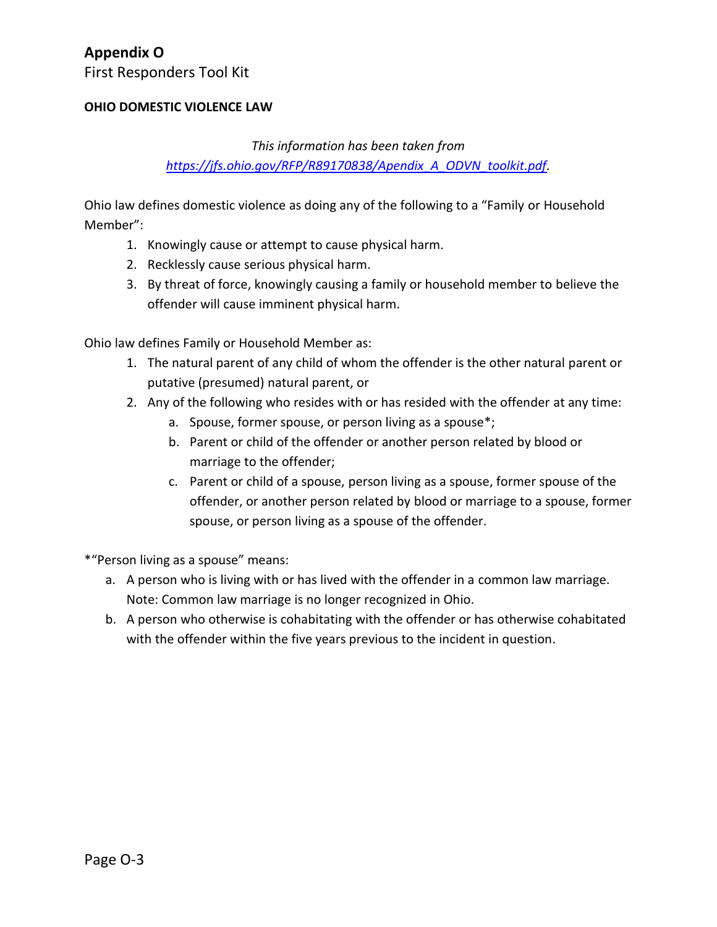First Responders Tool Kit

#### **OHIO DOMESTIC VIOLENCE LAW**

### *This information has been taken from [https://jfs.ohio.gov/RFP/R89170838/Apendix\\_A\\_ODVN\\_toolkit.pdf.](https://jfs.ohio.gov/RFP/R89170838/Apendix_A_ODVN_toolkit.pdf)*

Ohio law defines domestic violence as doing any of the following to a "Family or Household Member":

- 1. Knowingly cause or attempt to cause physical harm.
- 2. Recklessly cause serious physical harm.
- 3. By threat of force, knowingly causing a family or household member to believe the offender will cause imminent physical harm.

Ohio law defines Family or Household Member as:

- 1. The natural parent of any child of whom the offender is the other natural parent or putative (presumed) natural parent, or
- 2. Any of the following who resides with or has resided with the offender at any time:
	- a. Spouse, former spouse, or person living as a spouse\*;
	- b. Parent or child of the offender or another person related by blood or marriage to the offender;
	- c. Parent or child of a spouse, person living as a spouse, former spouse of the offender, or another person related by blood or marriage to a spouse, former spouse, or person living as a spouse of the offender.

\*"Person living as a spouse" means:

- a. A person who is living with or has lived with the offender in a common law marriage. Note: Common law marriage is no longer recognized in Ohio.
- b. A person who otherwise is cohabitating with the offender or has otherwise cohabitated with the offender within the five years previous to the incident in question.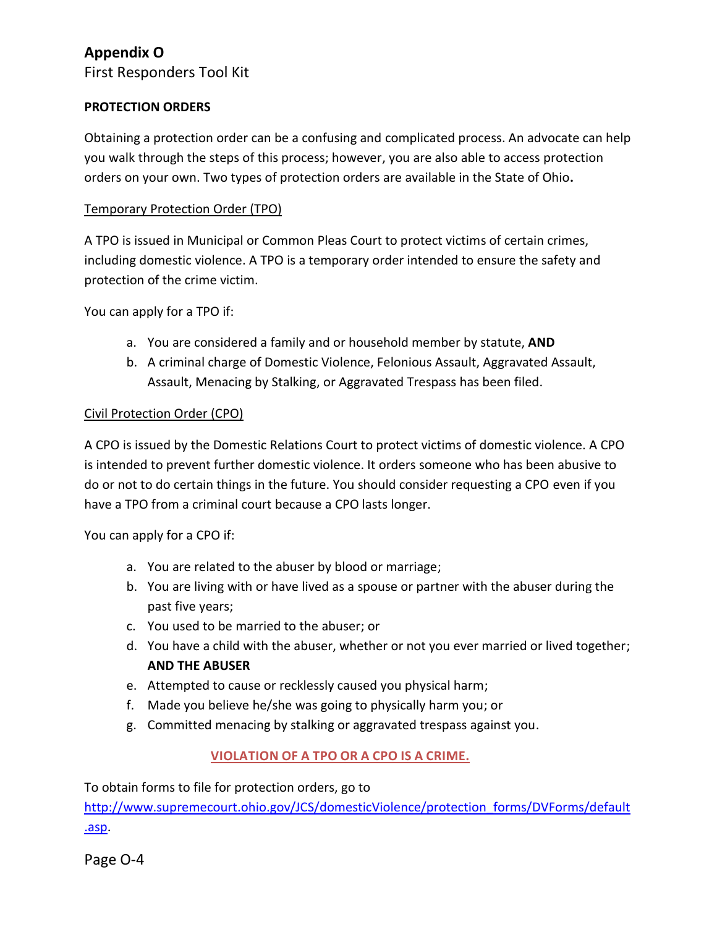First Responders Tool Kit

#### **PROTECTION ORDERS**

Obtaining a protection order can be a confusing and complicated process. An advocate can help you walk through the steps of this process; however, you are also able to access protection orders on your own. Two types of protection orders are available in the State of Ohio**.**

#### Temporary Protection Order (TPO)

A TPO is issued in Municipal or Common Pleas Court to protect victims of certain crimes, including domestic violence. A TPO is a temporary order intended to ensure the safety and protection of the crime victim.

You can apply for a TPO if:

- a. You are considered a family and or household member by statute, **AND**
- b. A criminal charge of Domestic Violence, Felonious Assault, Aggravated Assault, Assault, Menacing by Stalking, or Aggravated Trespass has been filed.

#### Civil Protection Order (CPO)

A CPO is issued by the Domestic Relations Court to protect victims of domestic violence. A CPO is intended to prevent further domestic violence. It orders someone who has been abusive to do or not to do certain things in the future. You should consider requesting a CPO even if you have a TPO from a criminal court because a CPO lasts longer.

You can apply for a CPO if:

- a. You are related to the abuser by blood or marriage;
- b. You are living with or have lived as a spouse or partner with the abuser during the past five years;
- c. You used to be married to the abuser; or
- d. You have a child with the abuser, whether or not you ever married or lived together; **AND THE ABUSER**
- e. Attempted to cause or recklessly caused you physical harm;
- f. Made you believe he/she was going to physically harm you; or
- g. Committed menacing by stalking or aggravated trespass against you.

### **VIOLATION OF A TPO OR A CPO IS A CRIME.**

To obtain forms to file for protection orders, go to

[http://www.supremecourt.ohio.gov/JCS/domesticViolence/protection\\_forms/DVForms/default](http://www.supremecourt.ohio.gov/JCS/domesticViolence/protection_forms/DVForms/default.asp) [.asp.](http://www.supremecourt.ohio.gov/JCS/domesticViolence/protection_forms/DVForms/default.asp)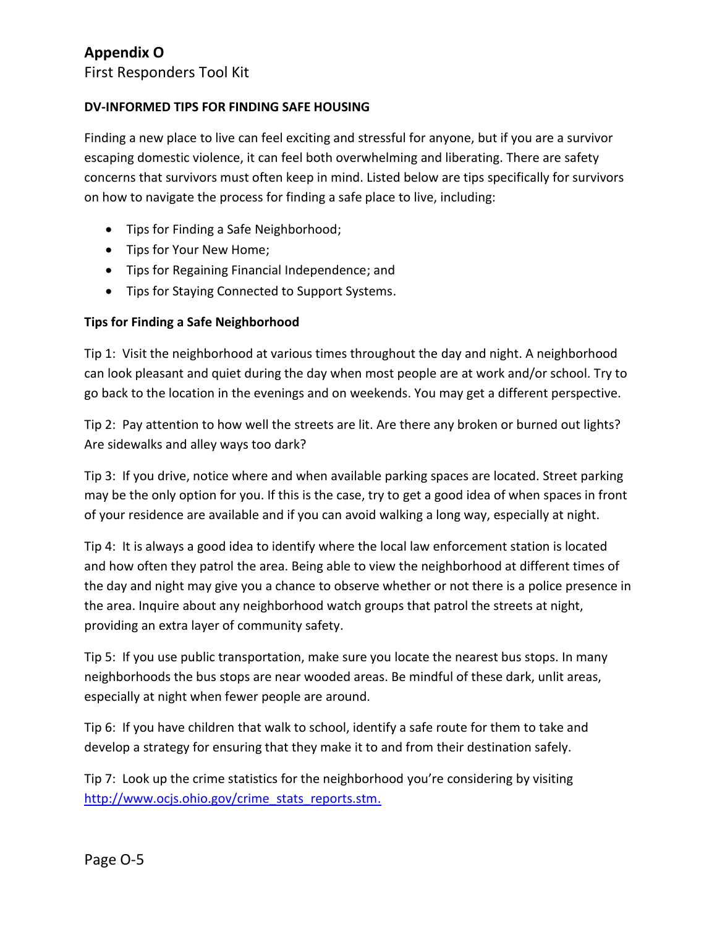First Responders Tool Kit

#### **DV-INFORMED TIPS FOR FINDING SAFE HOUSING**

Finding a new place to live can feel exciting and stressful for anyone, but if you are a survivor escaping domestic violence, it can feel both overwhelming and liberating. There are safety concerns that survivors must often keep in mind. Listed below are tips specifically for survivors on how to navigate the process for finding a safe place to live, including:

- Tips for Finding a Safe Neighborhood;
- Tips for Your New Home;
- Tips for Regaining Financial Independence; and
- Tips for Staying Connected to Support Systems.

### **Tips for Finding a Safe Neighborhood**

Tip 1: Visit the neighborhood at various times throughout the day and night. A neighborhood can look pleasant and quiet during the day when most people are at work and/or school. Try to go back to the location in the evenings and on weekends. You may get a different perspective.

Tip 2: Pay attention to how well the streets are lit. Are there any broken or burned out lights? Are sidewalks and alley ways too dark?

Tip 3: If you drive, notice where and when available parking spaces are located. Street parking may be the only option for you. If this is the case, try to get a good idea of when spaces in front of your residence are available and if you can avoid walking a long way, especially at night.

Tip 4: It is always a good idea to identify where the local law enforcement station is located and how often they patrol the area. Being able to view the neighborhood at different times of the day and night may give you a chance to observe whether or not there is a police presence in the area. Inquire about any neighborhood watch groups that patrol the streets at night, providing an extra layer of community safety.

Tip 5: If you use public transportation, make sure you locate the nearest bus stops. In many neighborhoods the bus stops are near wooded areas. Be mindful of these dark, unlit areas, especially at night when fewer people are around.

Tip 6: If you have children that walk to school, identify a safe route for them to take and develop a strategy for ensuring that they make it to and from their destination safely.

Tip 7: Look up the crime statistics for the neighborhood you're considering by visiting [http://www.ocjs.ohio.gov/crime\\_stats\\_reports.stm.](http://www.ocjs.ohio.gov/crime_stats_reports.stm)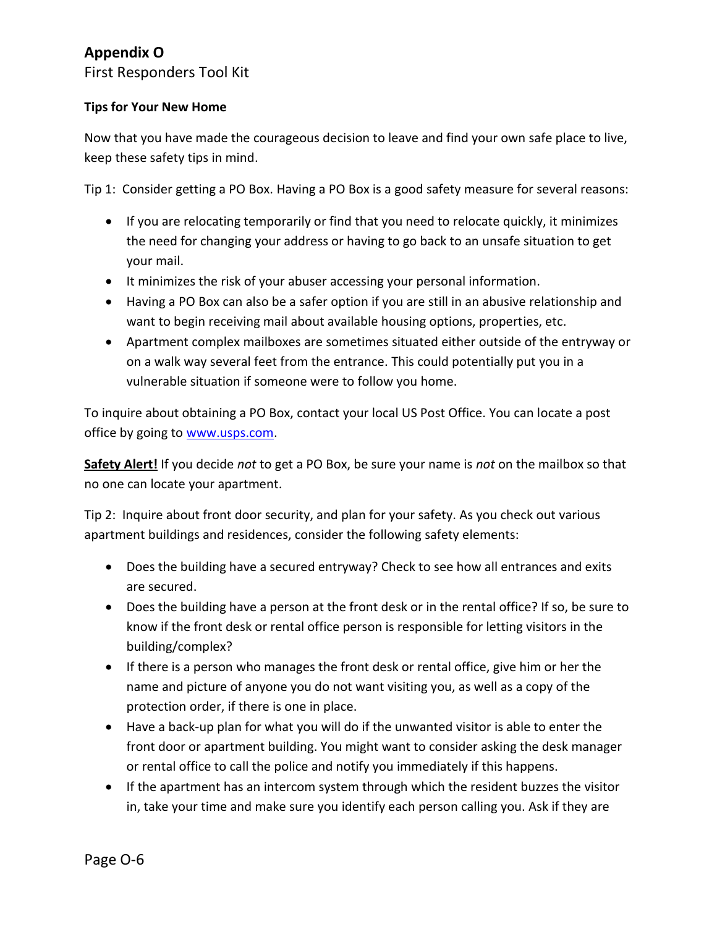First Responders Tool Kit

### **Tips for Your New Home**

Now that you have made the courageous decision to leave and find your own safe place to live, keep these safety tips in mind.

Tip 1: Consider getting a PO Box. Having a PO Box is a good safety measure for several reasons:

- If you are relocating temporarily or find that you need to relocate quickly, it minimizes the need for changing your address or having to go back to an unsafe situation to get your mail.
- It minimizes the risk of your abuser accessing your personal information.
- Having a PO Box can also be a safer option if you are still in an abusive relationship and want to begin receiving mail about available housing options, properties, etc.
- Apartment complex mailboxes are sometimes situated either outside of the entryway or on a walk way several feet from the entrance. This could potentially put you in a vulnerable situation if someone were to follow you home.

To inquire about obtaining a PO Box, contact your local US Post Office. You can locate a post office by going to [www.usps.com.](http://www.usps.com/)

**Safety Alert!** If you decide *not* to get a PO Box, be sure your name is *not* on the mailbox so that no one can locate your apartment.

Tip 2: Inquire about front door security, and plan for your safety. As you check out various apartment buildings and residences, consider the following safety elements:

- Does the building have a secured entryway? Check to see how all entrances and exits are secured.
- Does the building have a person at the front desk or in the rental office? If so, be sure to know if the front desk or rental office person is responsible for letting visitors in the building/complex?
- If there is a person who manages the front desk or rental office, give him or her the name and picture of anyone you do not want visiting you, as well as a copy of the protection order, if there is one in place.
- Have a back-up plan for what you will do if the unwanted visitor is able to enter the front door or apartment building. You might want to consider asking the desk manager or rental office to call the police and notify you immediately if this happens.
- If the apartment has an intercom system through which the resident buzzes the visitor in, take your time and make sure you identify each person calling you. Ask if they are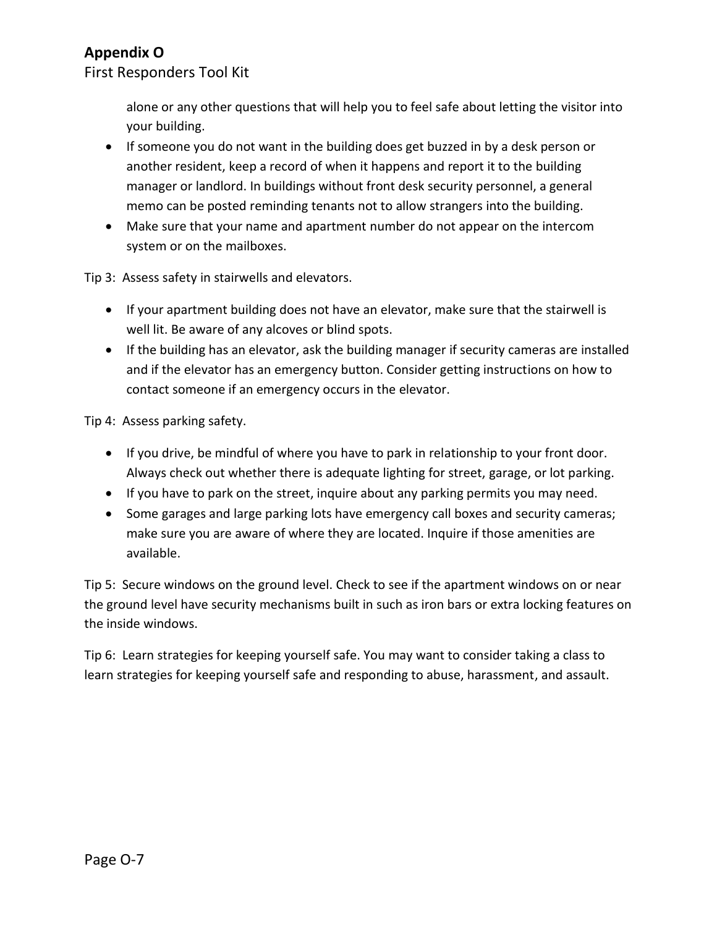First Responders Tool Kit

alone or any other questions that will help you to feel safe about letting the visitor into your building.

- If someone you do not want in the building does get buzzed in by a desk person or another resident, keep a record of when it happens and report it to the building manager or landlord. In buildings without front desk security personnel, a general memo can be posted reminding tenants not to allow strangers into the building.
- Make sure that your name and apartment number do not appear on the intercom system or on the mailboxes.

Tip 3: Assess safety in stairwells and elevators.

- If your apartment building does not have an elevator, make sure that the stairwell is well lit. Be aware of any alcoves or blind spots.
- If the building has an elevator, ask the building manager if security cameras are installed and if the elevator has an emergency button. Consider getting instructions on how to contact someone if an emergency occurs in the elevator.

Tip 4: Assess parking safety.

- If you drive, be mindful of where you have to park in relationship to your front door. Always check out whether there is adequate lighting for street, garage, or lot parking.
- If you have to park on the street, inquire about any parking permits you may need.
- Some garages and large parking lots have emergency call boxes and security cameras; make sure you are aware of where they are located. Inquire if those amenities are available.

Tip 5: Secure windows on the ground level. Check to see if the apartment windows on or near the ground level have security mechanisms built in such as iron bars or extra locking features on the inside windows.

Tip 6: Learn strategies for keeping yourself safe. You may want to consider taking a class to learn strategies for keeping yourself safe and responding to abuse, harassment, and assault.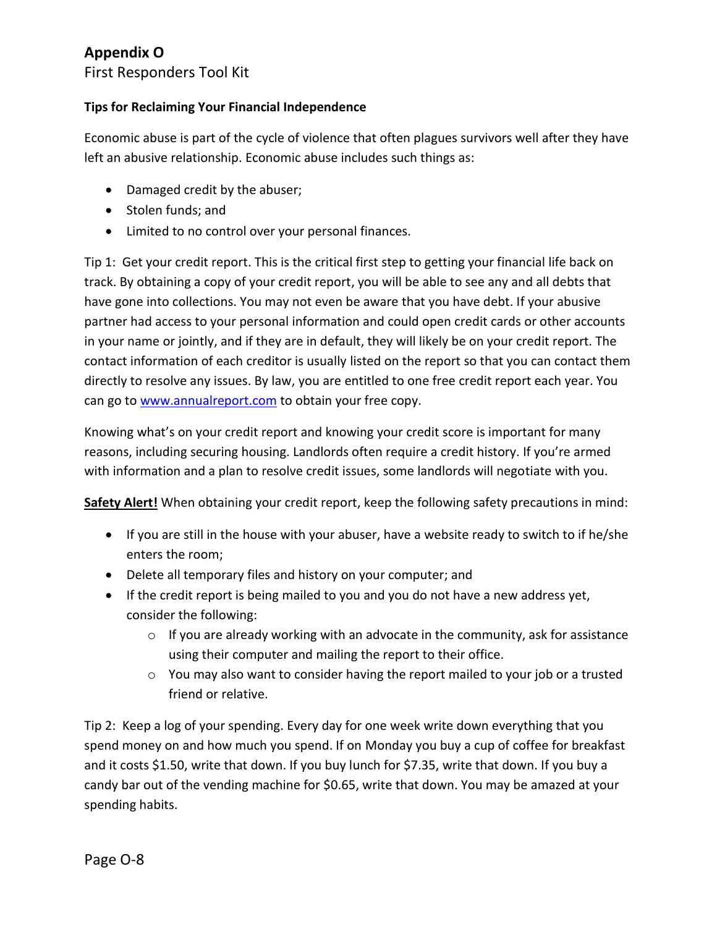First Responders Tool Kit

### **Tips for Reclaiming Your Financial Independence**

Economic abuse is part of the cycle of violence that often plagues survivors well after they have left an abusive relationship. Economic abuse includes such things as:

- Damaged credit by the abuser;
- Stolen funds; and
- Limited to no control over your personal finances.

Tip 1: Get your credit report. This is the critical first step to getting your financial life back on track. By obtaining a copy of your credit report, you will be able to see any and all debts that have gone into collections. You may not even be aware that you have debt. If your abusive partner had access to your personal information and could open credit cards or other accounts in your name or jointly, and if they are in default, they will likely be on your credit report. The contact information of each creditor is usually listed on the report so that you can contact them directly to resolve any issues. By law, you are entitled to one free credit report each year. You can go to [www.annualreport.com](http://www.annualreport.com/) to obtain your free copy.

Knowing what's on your credit report and knowing your credit score is important for many reasons, including securing housing. Landlords often require a credit history. If you're armed with information and a plan to resolve credit issues, some landlords will negotiate with you.

**Safety Alert!** When obtaining your credit report, keep the following safety precautions in mind:

- If you are still in the house with your abuser, have a website ready to switch to if he/she enters the room;
- Delete all temporary files and history on your computer; and
- If the credit report is being mailed to you and you do not have a new address yet, consider the following:
	- $\circ$  If you are already working with an advocate in the community, ask for assistance using their computer and mailing the report to their office.
	- $\circ$  You may also want to consider having the report mailed to your job or a trusted friend or relative.

Tip 2: Keep a log of your spending. Every day for one week write down everything that you spend money on and how much you spend. If on Monday you buy a cup of coffee for breakfast and it costs \$1.50, write that down. If you buy lunch for \$7.35, write that down. If you buy a candy bar out of the vending machine for \$0.65, write that down. You may be amazed at your spending habits.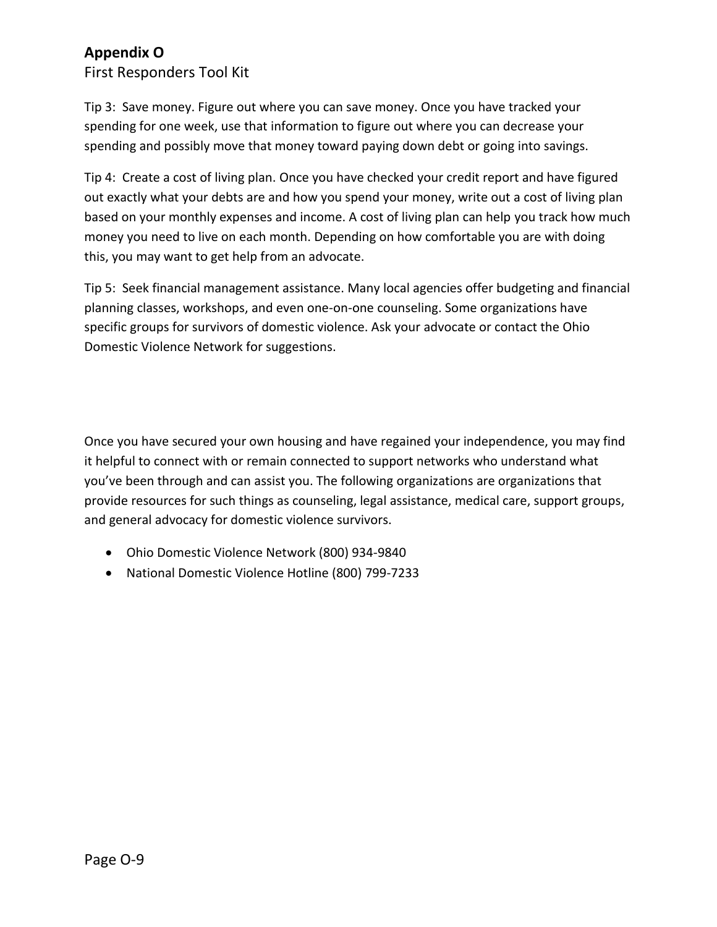First Responders Tool Kit

Tip 3: Save money. Figure out where you can save money. Once you have tracked your spending for one week, use that information to figure out where you can decrease your spending and possibly move that money toward paying down debt or going into savings.

Tip 4: Create a cost of living plan. Once you have checked your credit report and have figured out exactly what your debts are and how you spend your money, write out a cost of living plan based on your monthly expenses and income. A cost of living plan can help you track how much money you need to live on each month. Depending on how comfortable you are with doing this, you may want to get help from an advocate.

Tip 5: Seek financial management assistance. Many local agencies offer budgeting and financial planning classes, workshops, and even one-on-one counseling. Some organizations have specific groups for survivors of domestic violence. Ask your advocate or contact the Ohio Domestic Violence Network for suggestions.

Once you have secured your own housing and have regained your independence, you may find it helpful to connect with or remain connected to support networks who understand what you've been through and can assist you. The following organizations are organizations that provide resources for such things as counseling, legal assistance, medical care, support groups, and general advocacy for domestic violence survivors.

- Ohio Domestic Violence Network (800) 934-9840
- National Domestic Violence Hotline (800) 799-7233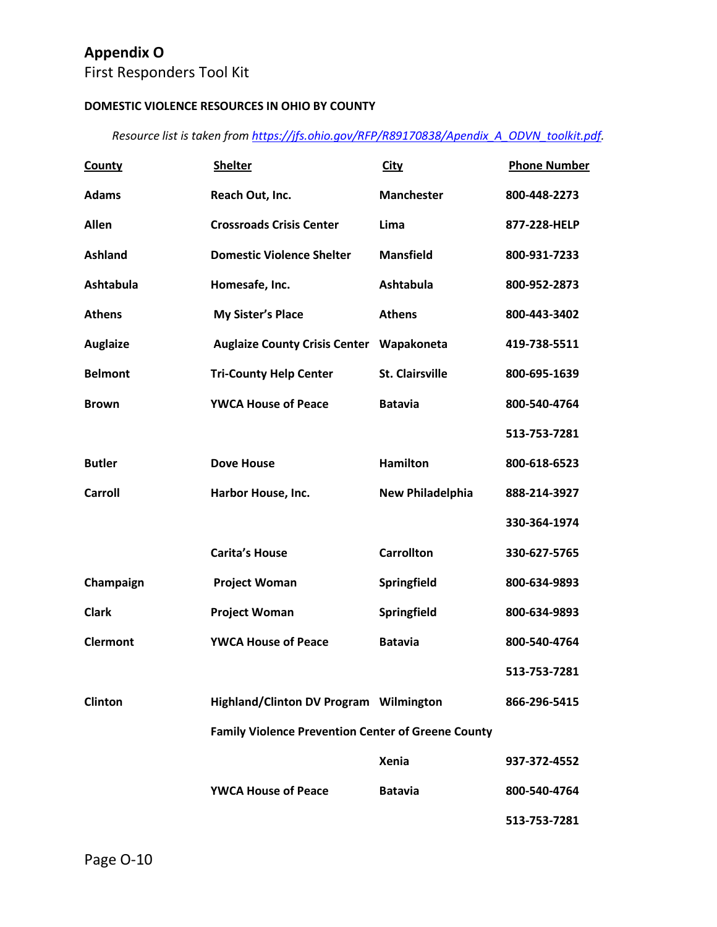First Responders Tool Kit

### **DOMESTIC VIOLENCE RESOURCES IN OHIO BY COUNTY**

*Resource list is taken from [https://jfs.ohio.gov/RFP/R89170838/Apendix\\_A\\_ODVN\\_toolkit.pdf.](https://jfs.ohio.gov/RFP/R89170838/Apendix_A_ODVN_toolkit.pdf)* 

| <b>County</b>   | <b>Shelter</b>                                            | <b>City</b>             | <b>Phone Number</b> |
|-----------------|-----------------------------------------------------------|-------------------------|---------------------|
| <b>Adams</b>    | Reach Out, Inc.                                           | <b>Manchester</b>       | 800-448-2273        |
| Allen           | <b>Crossroads Crisis Center</b>                           | Lima                    | 877-228-HELP        |
| <b>Ashland</b>  | <b>Domestic Violence Shelter</b>                          | <b>Mansfield</b>        | 800-931-7233        |
| Ashtabula       | Homesafe, Inc.                                            | <b>Ashtabula</b>        | 800-952-2873        |
| <b>Athens</b>   | <b>My Sister's Place</b>                                  | <b>Athens</b>           | 800-443-3402        |
| <b>Auglaize</b> | <b>Auglaize County Crisis Center</b>                      | Wapakoneta              | 419-738-5511        |
| <b>Belmont</b>  | <b>Tri-County Help Center</b>                             | <b>St. Clairsville</b>  | 800-695-1639        |
| <b>Brown</b>    | <b>YWCA House of Peace</b>                                | <b>Batavia</b>          | 800-540-4764        |
|                 |                                                           |                         | 513-753-7281        |
| <b>Butler</b>   | <b>Dove House</b>                                         | <b>Hamilton</b>         | 800-618-6523        |
| <b>Carroll</b>  | Harbor House, Inc.                                        | <b>New Philadelphia</b> | 888-214-3927        |
|                 |                                                           |                         | 330-364-1974        |
|                 | <b>Carita's House</b>                                     | <b>Carrollton</b>       | 330-627-5765        |
| Champaign       | <b>Project Woman</b>                                      | Springfield             | 800-634-9893        |
| <b>Clark</b>    | <b>Project Woman</b>                                      | Springfield             | 800-634-9893        |
| <b>Clermont</b> | <b>YWCA House of Peace</b>                                | <b>Batavia</b>          | 800-540-4764        |
|                 |                                                           |                         | 513-753-7281        |
| <b>Clinton</b>  | Highland/Clinton DV Program Wilmington                    |                         | 866-296-5415        |
|                 | <b>Family Violence Prevention Center of Greene County</b> |                         |                     |
|                 |                                                           | <b>Xenia</b>            | 937-372-4552        |
|                 | <b>YWCA House of Peace</b>                                | <b>Batavia</b>          | 800-540-4764        |
|                 |                                                           |                         |                     |

**513-753-7281**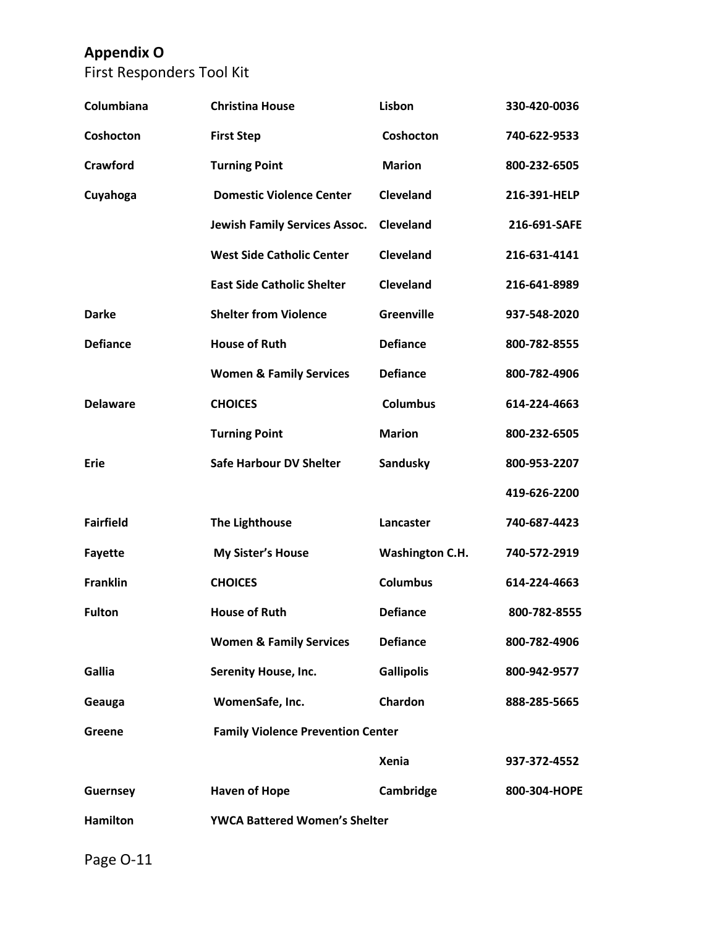First Responders Tool Kit

| Columbiana       | <b>Christina House</b>                   | Lisbon                 | 330-420-0036 |
|------------------|------------------------------------------|------------------------|--------------|
| Coshocton        | <b>First Step</b>                        | Coshocton              | 740-622-9533 |
| Crawford         | <b>Turning Point</b>                     | <b>Marion</b>          | 800-232-6505 |
| Cuyahoga         | <b>Domestic Violence Center</b>          | Cleveland              | 216-391-HELP |
|                  | <b>Jewish Family Services Assoc.</b>     | <b>Cleveland</b>       | 216-691-SAFE |
|                  | <b>West Side Catholic Center</b>         | Cleveland              | 216-631-4141 |
|                  | <b>East Side Catholic Shelter</b>        | <b>Cleveland</b>       | 216-641-8989 |
| <b>Darke</b>     | <b>Shelter from Violence</b>             | <b>Greenville</b>      | 937-548-2020 |
| <b>Defiance</b>  | <b>House of Ruth</b>                     | <b>Defiance</b>        | 800-782-8555 |
|                  | <b>Women &amp; Family Services</b>       | <b>Defiance</b>        | 800-782-4906 |
| <b>Delaware</b>  | <b>CHOICES</b>                           | <b>Columbus</b>        | 614-224-4663 |
|                  | <b>Turning Point</b>                     | <b>Marion</b>          | 800-232-6505 |
| <b>Erie</b>      | <b>Safe Harbour DV Shelter</b>           | Sandusky               | 800-953-2207 |
|                  |                                          |                        | 419-626-2200 |
| <b>Fairfield</b> | <b>The Lighthouse</b>                    | Lancaster              | 740-687-4423 |
| <b>Fayette</b>   | <b>My Sister's House</b>                 | <b>Washington C.H.</b> | 740-572-2919 |
| <b>Franklin</b>  | <b>CHOICES</b>                           | <b>Columbus</b>        | 614-224-4663 |
| <b>Fulton</b>    | <b>House of Ruth</b>                     | <b>Defiance</b>        | 800-782-8555 |
|                  | <b>Women &amp; Family Services</b>       | <b>Defiance</b>        | 800-782-4906 |
| Gallia           | <b>Serenity House, Inc.</b>              | <b>Gallipolis</b>      | 800-942-9577 |
| Geauga           | WomenSafe, Inc.                          | Chardon                | 888-285-5665 |
| Greene           | <b>Family Violence Prevention Center</b> |                        |              |
|                  |                                          | <b>Xenia</b>           | 937-372-4552 |
| <b>Guernsey</b>  | <b>Haven of Hope</b>                     | Cambridge              | 800-304-HOPE |
| <b>Hamilton</b>  | <b>YWCA Battered Women's Shelter</b>     |                        |              |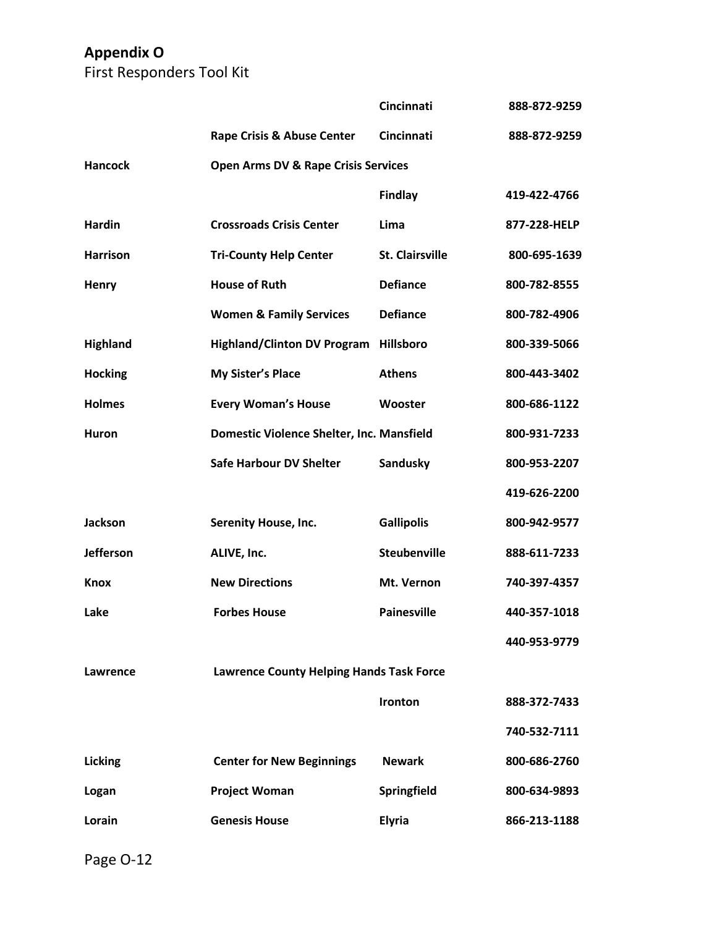First Responders Tool Kit

|                  |                                                 | Cincinnati             | 888-872-9259 |
|------------------|-------------------------------------------------|------------------------|--------------|
|                  | <b>Rape Crisis &amp; Abuse Center</b>           | Cincinnati             | 888-872-9259 |
| <b>Hancock</b>   | <b>Open Arms DV &amp; Rape Crisis Services</b>  |                        |              |
|                  |                                                 | <b>Findlay</b>         | 419-422-4766 |
| <b>Hardin</b>    | <b>Crossroads Crisis Center</b>                 | Lima                   | 877-228-HELP |
| <b>Harrison</b>  | <b>Tri-County Help Center</b>                   | <b>St. Clairsville</b> | 800-695-1639 |
| <b>Henry</b>     | <b>House of Ruth</b>                            | <b>Defiance</b>        | 800-782-8555 |
|                  | <b>Women &amp; Family Services</b>              | <b>Defiance</b>        | 800-782-4906 |
| Highland         | <b>Highland/Clinton DV Program</b>              | <b>Hillsboro</b>       | 800-339-5066 |
| <b>Hocking</b>   | My Sister's Place                               | <b>Athens</b>          | 800-443-3402 |
| <b>Holmes</b>    | <b>Every Woman's House</b>                      | Wooster                | 800-686-1122 |
| <b>Huron</b>     | Domestic Violence Shelter, Inc. Mansfield       |                        | 800-931-7233 |
|                  | <b>Safe Harbour DV Shelter</b>                  | Sandusky               | 800-953-2207 |
|                  |                                                 |                        | 419-626-2200 |
| <b>Jackson</b>   | <b>Serenity House, Inc.</b>                     | <b>Gallipolis</b>      | 800-942-9577 |
| <b>Jefferson</b> | ALIVE, Inc.                                     | <b>Steubenville</b>    | 888-611-7233 |
| <b>Knox</b>      | <b>New Directions</b>                           | Mt. Vernon             | 740-397-4357 |
| Lake             | <b>Forbes House</b>                             | <b>Painesville</b>     | 440-357-1018 |
|                  |                                                 |                        | 440-953-9779 |
| Lawrence         | <b>Lawrence County Helping Hands Task Force</b> |                        |              |
|                  |                                                 | Ironton                | 888-372-7433 |
|                  |                                                 |                        | 740-532-7111 |
| Licking          | <b>Center for New Beginnings</b>                | <b>Newark</b>          | 800-686-2760 |
| Logan            | <b>Project Woman</b>                            | Springfield            | 800-634-9893 |
| Lorain           | <b>Genesis House</b>                            | <b>Elyria</b>          | 866-213-1188 |
|                  |                                                 |                        |              |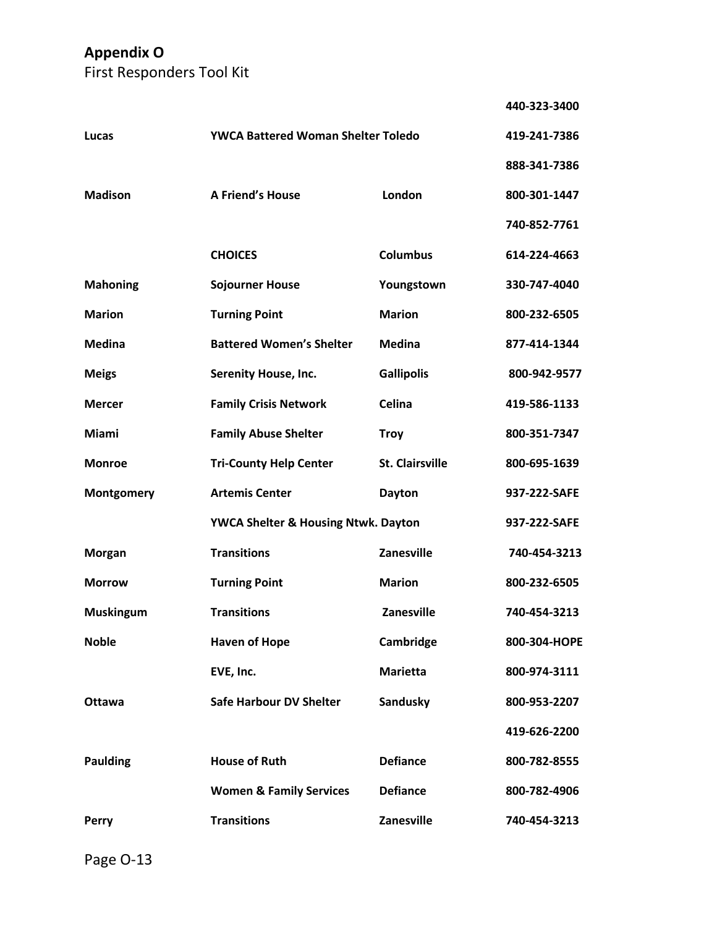First Responders Tool Kit

|                  |                                           |                        | 440-323-3400 |
|------------------|-------------------------------------------|------------------------|--------------|
| Lucas            | <b>YWCA Battered Woman Shelter Toledo</b> | 419-241-7386           |              |
|                  |                                           |                        | 888-341-7386 |
| <b>Madison</b>   | <b>A Friend's House</b>                   | London                 | 800-301-1447 |
|                  |                                           |                        | 740-852-7761 |
|                  | <b>CHOICES</b>                            | <b>Columbus</b>        | 614-224-4663 |
| <b>Mahoning</b>  | <b>Sojourner House</b>                    | Youngstown             | 330-747-4040 |
| <b>Marion</b>    | <b>Turning Point</b>                      | <b>Marion</b>          | 800-232-6505 |
| Medina           | <b>Battered Women's Shelter</b>           | <b>Medina</b>          | 877-414-1344 |
| <b>Meigs</b>     | <b>Serenity House, Inc.</b>               | <b>Gallipolis</b>      | 800-942-9577 |
| <b>Mercer</b>    | <b>Family Crisis Network</b>              | Celina                 | 419-586-1133 |
| Miami            | <b>Family Abuse Shelter</b>               | <b>Troy</b>            | 800-351-7347 |
| <b>Monroe</b>    | <b>Tri-County Help Center</b>             | <b>St. Clairsville</b> | 800-695-1639 |
| Montgomery       | <b>Artemis Center</b>                     | <b>Dayton</b>          | 937-222-SAFE |
|                  | YWCA Shelter & Housing Ntwk. Dayton       |                        | 937-222-SAFE |
| <b>Morgan</b>    | <b>Transitions</b>                        | <b>Zanesville</b>      | 740-454-3213 |
| <b>Morrow</b>    | <b>Turning Point</b>                      | <b>Marion</b>          | 800-232-6505 |
| <b>Muskingum</b> | <b>Transitions</b>                        | Zanesville             | 740-454-3213 |
| <b>Noble</b>     | <b>Haven of Hope</b>                      | Cambridge              | 800-304-HOPE |
|                  | EVE, Inc.                                 | <b>Marietta</b>        | 800-974-3111 |
| <b>Ottawa</b>    | <b>Safe Harbour DV Shelter</b>            | Sandusky               | 800-953-2207 |
|                  |                                           |                        | 419-626-2200 |
| <b>Paulding</b>  | <b>House of Ruth</b>                      | <b>Defiance</b>        | 800-782-8555 |
|                  | <b>Women &amp; Family Services</b>        | <b>Defiance</b>        | 800-782-4906 |
| <b>Perry</b>     | <b>Transitions</b>                        | <b>Zanesville</b>      | 740-454-3213 |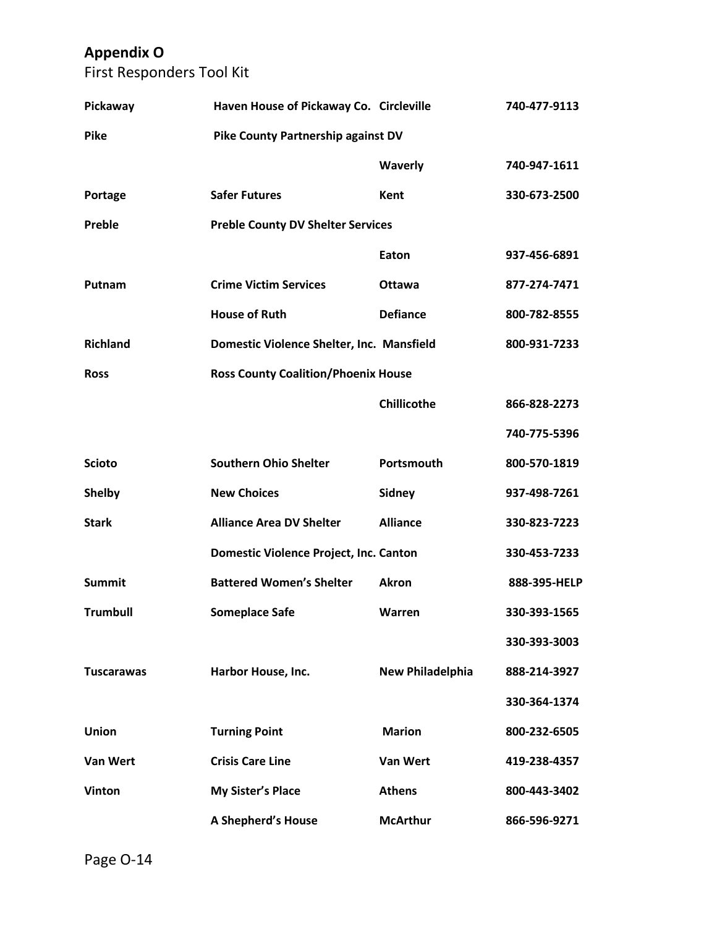First Responders Tool Kit

| Pickaway          | Haven House of Pickaway Co. Circleville    |                         | 740-477-9113 |
|-------------------|--------------------------------------------|-------------------------|--------------|
| <b>Pike</b>       | <b>Pike County Partnership against DV</b>  |                         |              |
|                   |                                            | Waverly                 | 740-947-1611 |
| Portage           | <b>Safer Futures</b>                       | Kent                    | 330-673-2500 |
| Preble            | <b>Preble County DV Shelter Services</b>   |                         |              |
|                   |                                            | Eaton                   | 937-456-6891 |
| Putnam            | <b>Crime Victim Services</b>               | <b>Ottawa</b>           | 877-274-7471 |
|                   | <b>House of Ruth</b>                       | <b>Defiance</b>         | 800-782-8555 |
| <b>Richland</b>   | Domestic Violence Shelter, Inc. Mansfield  |                         | 800-931-7233 |
| <b>Ross</b>       | <b>Ross County Coalition/Phoenix House</b> |                         |              |
|                   |                                            | Chillicothe             | 866-828-2273 |
|                   |                                            |                         | 740-775-5396 |
| <b>Scioto</b>     | <b>Southern Ohio Shelter</b>               | Portsmouth              | 800-570-1819 |
| <b>Shelby</b>     | <b>New Choices</b>                         | <b>Sidney</b>           | 937-498-7261 |
| <b>Stark</b>      | <b>Alliance Area DV Shelter</b>            | <b>Alliance</b>         | 330-823-7223 |
|                   | Domestic Violence Project, Inc. Canton     |                         | 330-453-7233 |
| <b>Summit</b>     | <b>Battered Women's Shelter</b>            | <b>Akron</b>            | 888-395-HELP |
| <b>Trumbull</b>   | <b>Someplace Safe</b>                      | Warren                  | 330-393-1565 |
|                   |                                            |                         | 330-393-3003 |
| <b>Tuscarawas</b> | Harbor House, Inc.                         | <b>New Philadelphia</b> | 888-214-3927 |
|                   |                                            |                         | 330-364-1374 |
| Union             | <b>Turning Point</b>                       | <b>Marion</b>           | 800-232-6505 |
| <b>Van Wert</b>   | <b>Crisis Care Line</b>                    | Van Wert                | 419-238-4357 |
| Vinton            | My Sister's Place                          | <b>Athens</b>           | 800-443-3402 |
|                   | A Shepherd's House                         | <b>McArthur</b>         | 866-596-9271 |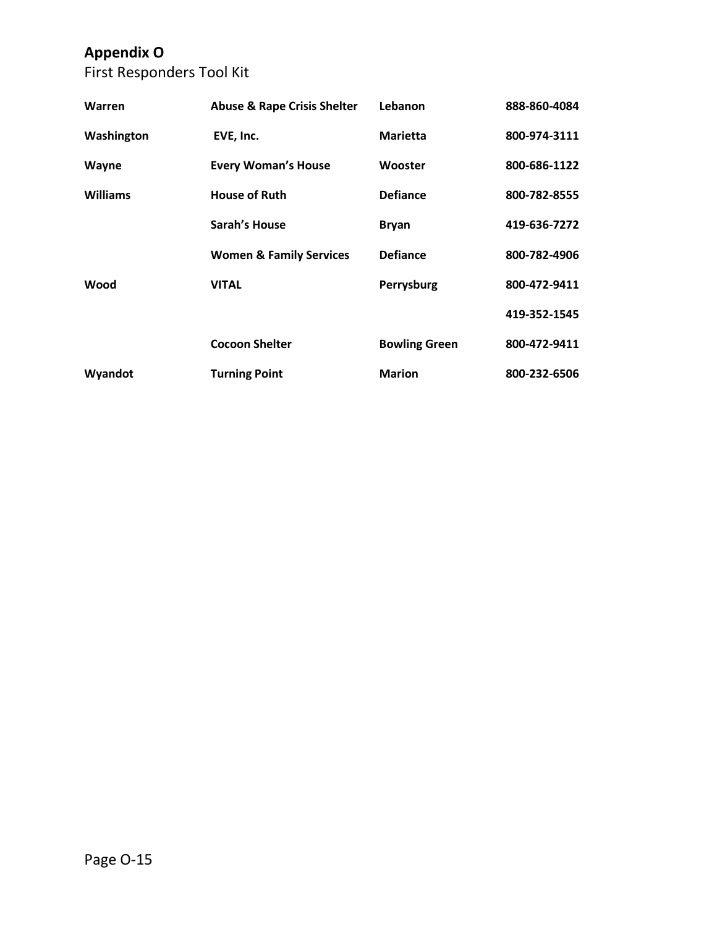First Responders Tool Kit

| Warren     | <b>Abuse &amp; Rape Crisis Shelter</b> | Lebanon              | 888-860-4084 |
|------------|----------------------------------------|----------------------|--------------|
| Washington | EVE, Inc.                              | <b>Marietta</b>      | 800-974-3111 |
| Wayne      | <b>Every Woman's House</b>             | Wooster              | 800-686-1122 |
| Williams   | <b>House of Ruth</b>                   | <b>Defiance</b>      | 800-782-8555 |
|            | Sarah's House                          | <b>Bryan</b>         | 419-636-7272 |
|            | <b>Women &amp; Family Services</b>     | <b>Defiance</b>      | 800-782-4906 |
| Wood       | <b>VITAL</b>                           | Perrysburg           | 800-472-9411 |
|            |                                        |                      | 419-352-1545 |
|            | <b>Cocoon Shelter</b>                  | <b>Bowling Green</b> | 800-472-9411 |
| Wyandot    | <b>Turning Point</b>                   | <b>Marion</b>        | 800-232-6506 |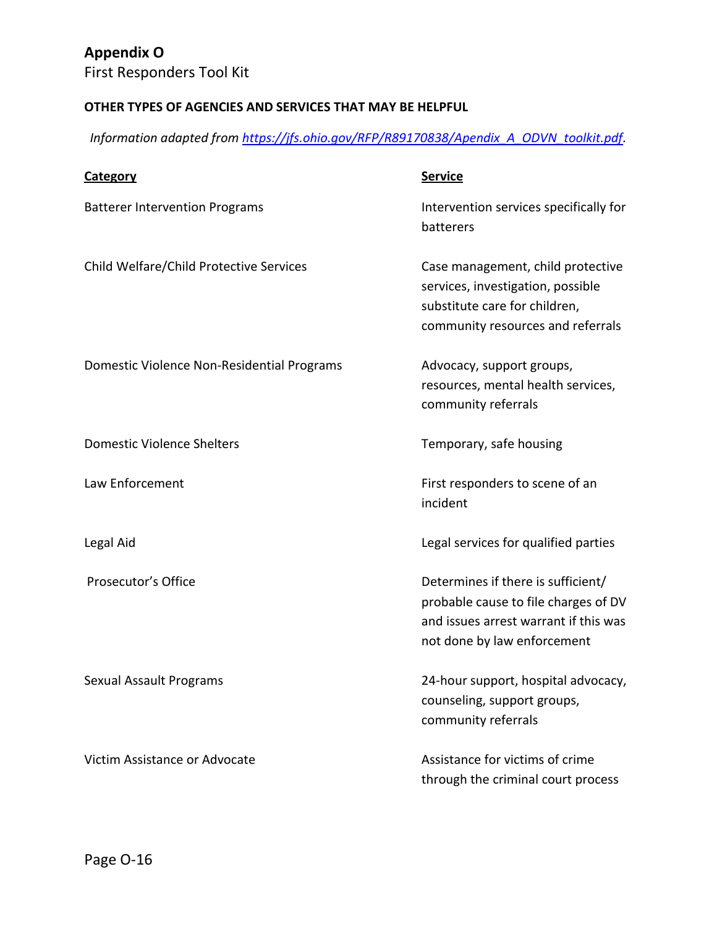First Responders Tool Kit

### **OTHER TYPES OF AGENCIES AND SERVICES THAT MAY BE HELPFUL**

*Information adapted from [https://jfs.ohio.gov/RFP/R89170838/Apendix\\_A\\_ODVN\\_toolkit.pdf.](https://jfs.ohio.gov/RFP/R89170838/Apendix_A_ODVN_toolkit.pdf)* 

| <b>Category</b>                            | <b>Service</b>                                                                                                                                     |
|--------------------------------------------|----------------------------------------------------------------------------------------------------------------------------------------------------|
| <b>Batterer Intervention Programs</b>      | Intervention services specifically for<br>batterers                                                                                                |
| Child Welfare/Child Protective Services    | Case management, child protective<br>services, investigation, possible<br>substitute care for children,<br>community resources and referrals       |
| Domestic Violence Non-Residential Programs | Advocacy, support groups,<br>resources, mental health services,<br>community referrals                                                             |
| <b>Domestic Violence Shelters</b>          | Temporary, safe housing                                                                                                                            |
| Law Enforcement                            | First responders to scene of an<br>incident                                                                                                        |
| Legal Aid                                  | Legal services for qualified parties                                                                                                               |
| Prosecutor's Office                        | Determines if there is sufficient/<br>probable cause to file charges of DV<br>and issues arrest warrant if this was<br>not done by law enforcement |
| <b>Sexual Assault Programs</b>             | 24-hour support, hospital advocacy,<br>counseling, support groups,<br>community referrals                                                          |
| Victim Assistance or Advocate              | Assistance for victims of crime<br>through the criminal court process                                                                              |